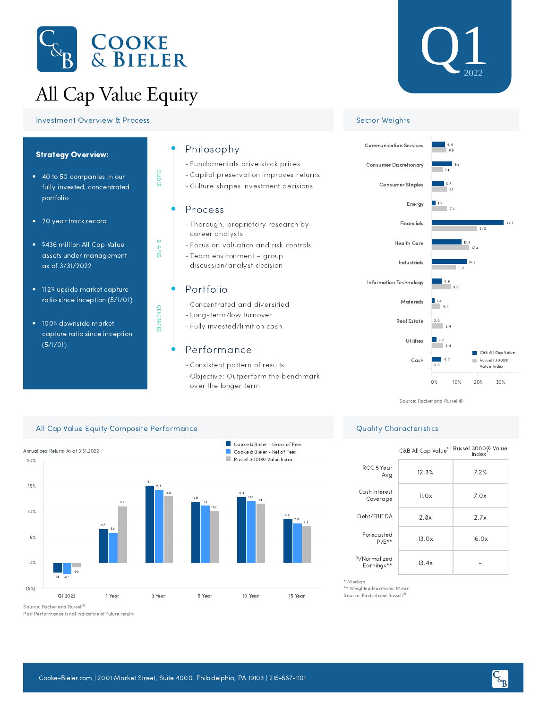

# All Cap Value Equity



### **Investment Overview & Process Sector Weights** Sector Weights



100% downside market capture ratio since inception (5/1/01)

### Philosophy

- Fundamentals drive stock prices -
- Capital preservation improves returns -
- Culture shapes investment decisions -

#### Process

GUIDES

SHAPES

GENERATES

**GENERATES** 

- Thorough, proprietary research by career analysts
- Focus on valuation and risk controls -
- Team environment group discussion/analyst decision

# Portfolio

- Concentrated and diversified -
- Long-term/low turnover
- Fully invested/limit on cash -

# Performance

- Consistent pattern of results -
- Objective: Outperform the benchmark over the longer term





Source: Factset and Russell®

# All Cap Value Equity Composite Performance **Quality Characteristics** Quality Characteristics



Past Performance is not indicative of future results

|                            | C&B All Cap Value <sup>*†</sup> Russell 3000® Value |       |  |  |  |  |  |
|----------------------------|-----------------------------------------------------|-------|--|--|--|--|--|
| ROC 5 Year<br>Avg          | 12.3%                                               | 7.2%  |  |  |  |  |  |
| Cash Interest<br>Coverage  | 11.0x                                               | 7.0x  |  |  |  |  |  |
| Debt/EBITDA                | 2.8x                                                | 2.7x  |  |  |  |  |  |
| Forecasted<br>$P/F**$      | 13.0x                                               | 16.0x |  |  |  |  |  |
| P/Normalized<br>Earnings** | 13.4x                                               |       |  |  |  |  |  |

\* Median

\*\* Weighted Harmonic Mean

Source: Factset and Russell ®